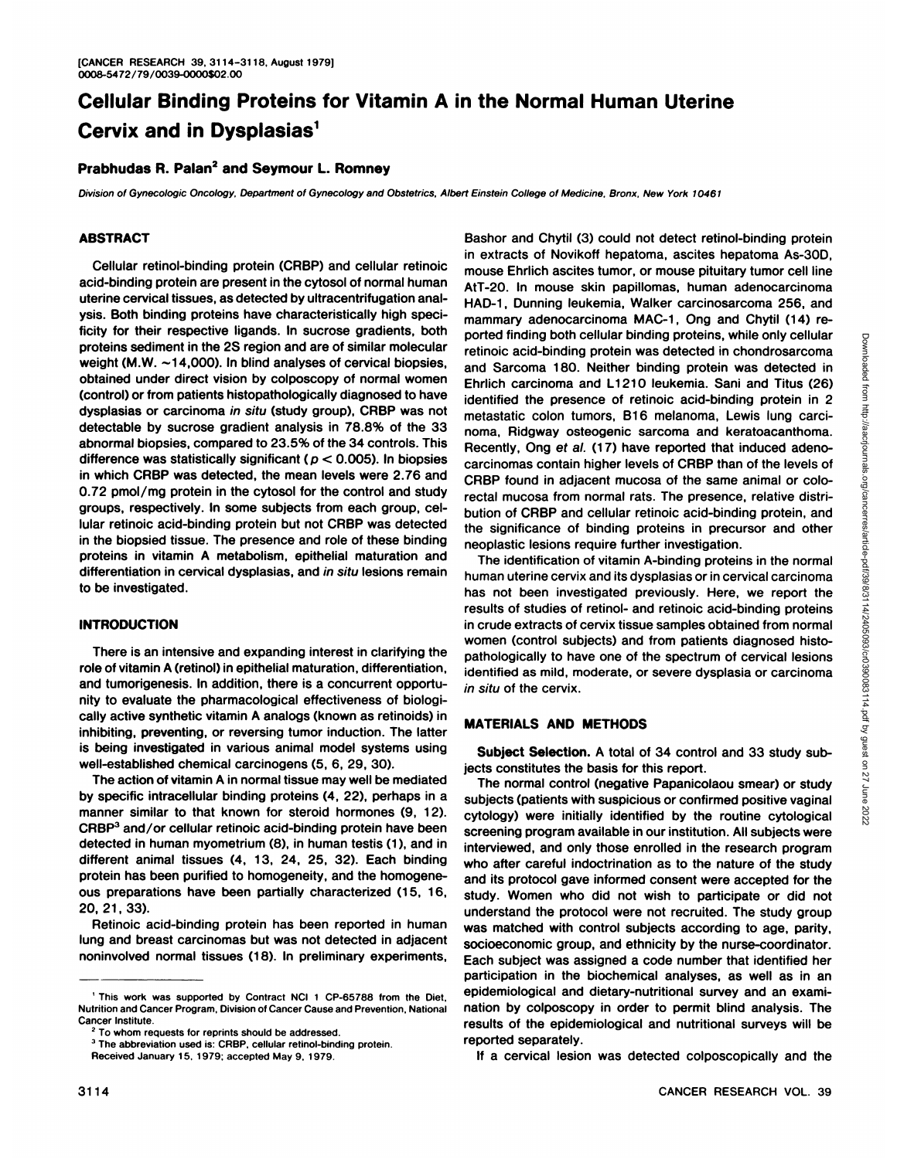# Cellular Binding Proteins for Vitamin A in the Normal Human Uterine Cervix and in Dysplasias<sup>1</sup>

# **Prabhudas R. PaIan2 and Seymour L. Romney**

Division of Gynecologic Oncology, Department of Gynecology and Obstetrics, Albert Einstein College of Medicine, Bronx, New York 10461

### **ABSTRACT**

Cellular retinol-binding protein (CRBP) and cellular netinoic acid-binding protein are present in the cytosol of normal human uterine cervical tissues, as detected by ultracentrifugation anal ysis. Both binding proteins have characteristically high speci ficity for their respective ligands. In sucrose gradients, both proteins sediment in the 2S region and are of similar molecular weight (M.W.  $\sim$ 14,000). In blind analyses of cervical biopsies, obtained under direct vision by colposcopy of normal women (control) or from patients histopathobogically diagnosed to have dysplasias or carcinoma in situ (study group), CRBP was not detectable by sucrose gradient analysis in 78.8% of the 33 abnormal biopsies, compared to 23.5% of the 34 controls. This difference was statistically significant ( $p < 0.005$ ). In biopsies in which CRBP was detected, the mean levels were 2.76 and 0.72 pmol/mg protein in the cytosol for the control and study groups, respectively. In some subjects from each group, cel lular retinoic acid-binding protein but not CRBP was detected in the biopsied tissue. The presence and role of these binding proteins in vitamin A metabolism, epithelial maturation and differentiation in cervical dysplasias, and in situ lesions remain to be investigated.

#### **INTRODUCTION**

There is an intensive and expanding interest in clarifying the role of vitamin A (retinol) in epithelial maturation, differentiation, and tumorigenesis. In addition, there is a concurrent opportu nity to evaluate the pharmacological effectiveness of biobogi cally active synthetic vitamin A analogs (known as retinoids) in inhibiting, preventing, or reversing tumor induction. The latter is being investigated in various animal model systems using well-established chemical carcinogens (5,6, 29, 30).

The action of vitamin A in normal tissue may well be mediated by specific intracellular binding proteins (4, 22), perhaps in a manner similar to that known for steroid hormones (9, 12). CRBP<sup>3</sup> and/or cellular retinoic acid-binding protein have been detected in human myometrium (8), in human testis (1), and in different animal tissues (4,13, 24, 25, 32). Each binding protein has been purified to homogeneity, and the homogene ous preparations have been partially characterized (15, 16, 20, 21, 33).

Retinoic acid-binding protein has been reported in human lung and breast carcinomas but was not detected in adjacent noninvolved normal tissues (18). In preliminary experiments,

mammary adenocarcinoma MAC-1, Ong and Chytil (14) reported finding both cellular binding proteins, while only cellular<br>retinuite arcis and Sateched in chondrosarcom<br>and Sarcoma 180. Neither binding protein was detected in<br>Enrich carcionna and L1210 leukemia. Sani and Titus retinoic acid-binding protein was detected in chondrosarcoma and Sarcoma 180. Neither binding protein was detected in Ehrlich carcinoma and Li 210 leukemia. Sani and Titus (26) identified the presence of retinoic acid-binding protein in 2 metastatic colon tumors, B16 melanoma, Lewis lung carcinoma, Ridgway osteogenic sarcoma and keratoacanthoma. Recently, Ong et al. (17) have reported that induced adeno carcinomas contain higher levels of CRBP than of the levels of CRBP found in adjacent mucosa of the same animal or colorectal mucosa from normal rats. The presence, relative distribution of CRBP and cellular retinoic acid-binding protein, and the significance of binding proteins in precursor and other neoplastic lesions require further investigation. The identification of vitamin A-binding proteins in the normal human uterine cervix and its dysplasias or in cervical carcinoma has not been investigated previously. Here, we report the results of studies of retinol- and retinoic acid-binding proteins in crude extracts of cervix tissue samples obtained from normal women (control subjects) and from patients diagnosed histo pathologically to have one of the spectrum of cervical lesions identified as mild, moderate, or severe dysplasia or carcinoma

Bashor and Chytil (3) could not detect retinol-binding protein in extracts of Novikoff hepatoma, ascites hepatoma As-30D, mouse Ehrlich ascites tumor, or mouse pituitary tumor cell line AtT-20. In mouse skin papillomas, human adenocarcinoma HAD-1, Dunning leukemia, Walker carcinosarcoma 256, and

### **MATERIALS AND METHODS**

in situ of the cervix.

**Subject Selection. A total of 34 control and 33 study sub** jects constitutes the basis for this report.

The normal control (negative Papanicolaou smear) or study subjects (patients with suspicious or confirmed positive vaginal cytology) were initially identified by the routine cytological screening program available in our institution. All subjects were interviewed, and only those enrolled in the research program who after careful indoctrination as to the nature of the study and its protocol gave informed consent were accepted for the study. Women who did not wish to participate or did not understand the protocol were not recruited. The study group was matched with control subjects according to age, parity, socioeconomic group, and ethnicity by the nurse-coordinator. Each subject was assigned a code number that identified her participation in the biochemical analyses, as well as in an epidemiological and dietary-nutritional survey and an exami nation by colposcopy in order to permit blind analysis. The results of the epidemiobogical and nutritional surveys will be reported separately.

**If a cervical lesion was detected colposcopically and the**

<sup>&</sup>lt;sup>1</sup> This work was supported by Contract NCI 1 CP-65788 from the Diet, Nutrition and Cancer Program, Division of Cancer Cause and Prevention, National Cancer Institute.

**<sup>2</sup> To whom requests for reprints should be addressed.**

**<sup>3</sup> The abbreviation used is: CRBP, cellular retinol-binding protein.**

Received January 15,1979: accepted May 9, 1979.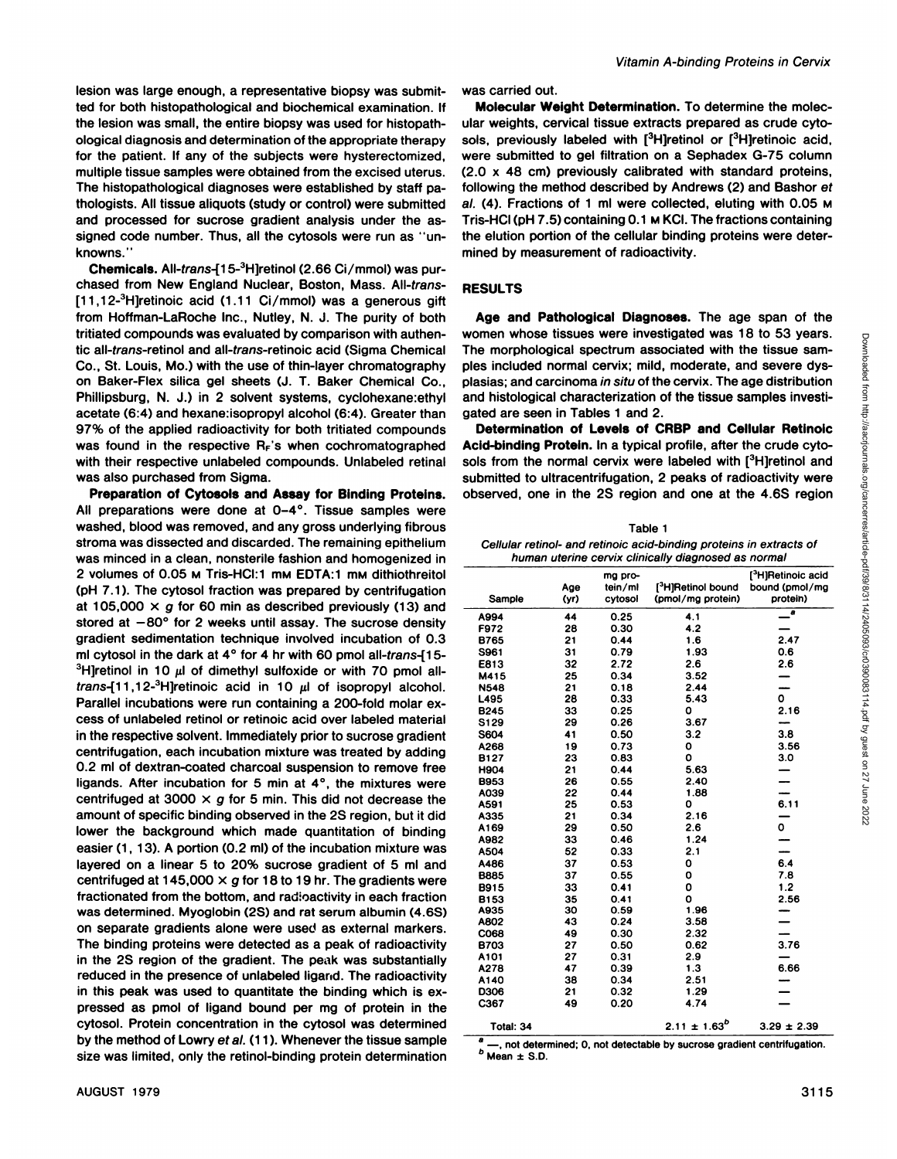lesion was large enough, a representative biopsy was submit ted for both histopathobogical and biochemical examination. If the lesion was small, the entire biopsy was used for histopath ological diagnosis and determination of the appropriate therapy for the patient. If any of the subjects were hysterectomized, multiple tissue samples were obtained from the excised uterus. The histopathobogical diagnoses were established by staff pa thobogists. All tissue aliquots (study orcontrol) were submitted and processed for sucrose gradient analysis under the assigned code number. Thus, all the cytosols were run as "unknowns."

**Chemicals. All-trans-El5-3Hjretinol(2.66 Ci/mmol) was pun** chased from New England Nuclear, Boston, Mass. All-trans- $[11,12^{-3}$ H]retinoic acid (1.11 Ci/mmol) was a generous gift from Hoffman-LaRoche Inc., Nutley, N. J. The purity of both tritiated compounds was evaluated by comparison with authen tic all-trans-retinol and all-trans-retinoic acid (Sigma Chemical Co., St. Louis, Mo.) with the use of thin-layer chromatography on Baker-Flex silica gel sheets (J.T. Baker Chemical Co., Phillipsburg, N. J.) in 2 solvent systems, cyclohexane: ethyl acetate (6:4) and hexane:isopropyl alcohol (6:4). Greater than 97% of the applied radioactivity for both tritiated compounds was found in the respective  $R_F$ 's when cochromatographed with their respective unlabeled compounds. Unlabeled retinal was also purchased from Sigma.

**Preparation of Cytosols and Assay for Binding Proteins.** All preparations were done at 0—4°. Tissue samples were washed, blood was removed, and any gross underlying fibrous stroma was dissected and discarded. The remaining epithelium was minced in a clean, nonsterile fashion and homogenized in 2 volumes of 0.05 M Tris-HCI:1 mM EDTA:1 mM dithiothreitol (pH 7.1). The cytosol fraction was prepared by centrifugation at 105,000  $\times$  g for 60 min as described previously (13) and stored at  $-80^\circ$  for 2 weeks until assay. The sucrose density gradient sedimentation technique involved incubation of 0.3 ml cytosol in the dark at  $4^{\circ}$  for 4 hr with 60 pmol all-trans-[15-<sup>3</sup>H]retinol in 10  $\mu$ l of dimethyl sulfoxide or with 70 pmol alltrans- $[11, 12^{-3}$ H]retinoic acid in 10  $\mu$ I of isopropyl alcohol. Parallel incubations were run containing a 200-fold molar ex cess of unlabeled netinol or retinoic acid over labeled material in the respective solvent. Immediately prior to sucrose gradient centrifugation, each incubation mixture was treated by adding 0.2 ml of dextran-coated charcoal suspension to remove free ligands. After incubation for 5 min at  $4^\circ$ , the mixtures were centrifuged at 3000  $\times$  g for 5 min. This did not decrease the amount of specific binding observed in the 2S region, but it did lower the background which made quantitation of binding easier (1, 13). A portion (0.2 ml) of the incubation mixture was layered on a linear 5 to 20% sucrose gradient of 5 ml and centrifuged at 145,000  $\times$  g for 18 to 19 hr. The gradients were fractionated from the bottom, and radioactivity in each fraction was determined. Myoglobin (25) and rat serum albumin (4.65) on separate gradients alone were used as external markers. The binding proteins were detected as a peak of radioactivity in the 25 region of the gradient. The peak was substantially reduced in the presence of unlabeled ligarid. The radioactivity in this peak was used to quantitate the binding which is ex pressed as pmol of ligand bound per mg of protein in the cytosol. Protein concentration in the cytosol was determined by the method of Lowry et al. (11). Whenever the tissue sample size was limited, only the netinol-binding protein determination

Molecular Weight Determination. To determine the molec ular weights, cervical tissue extracts prepared as crude cyto sols, previously labeled with  $[3H]$ retinol or  $[3H]$ retinoic acid, were submitted to gel filtration on a Sephadex G-75 column (2.0 x 48 cm) previously calibrated with standard proteins, following the method described by Andrews (2) and Bashor et al. (4). Fractions of 1 ml were collected, eluting with 0.05 M Tris-HCI (pH 7.5) containing 0.1 M KCI. The fractions containing the elution portion of the cellular binding proteins were deter mined by measurement of radioactivity.

### **RESULTS**

**Age and Pathological Diagnoses. The age span of the** women whose tissues were investigated was 18 to 53 years. The morphological spectrum associated with the tissue sam ples included normal cervix; mild, moderate, and severe dysplasias; and carcinoma in situ of the cervix. The age distribution and histological characterization of the tissue samples investi gated are seen in Tables 1 and 2.

**Determination of Levels of CRBP and Cellular Retinoic Acid-bindingProtein. In a typicalprofile,after the crude cyto** sols from the normal cervix were labeled with [3H]retinol and submitted to ultracentrifugation, 2 peaks of radioactivity were observed, one in the 25 region and one at the 4.65 region

| Table 1                                                             |
|---------------------------------------------------------------------|
| Cellular retinol- and retinoic acid-binding proteins in extracts of |
| bumon utarino consiv clinically diagnosed as normal                 |

|                     | human uterine cervix clinically diagnosed as normal |              |                                               |                                  |
|---------------------|-----------------------------------------------------|--------------|-----------------------------------------------|----------------------------------|
|                     |                                                     | mg pro-      |                                               | [ <sup>3</sup> H]Retinoic acid   |
|                     | Age                                                 | tein/ml      | [ <sup>3</sup> H]Retinol bound bound (pmol/mg |                                  |
| Sample              | (yr)                                                | cytosol      | (pmol/mg protein)                             | protein)                         |
| A994                | 44                                                  | 0.25         | $-4.1$                                        | $\frac{1}{2}$                    |
| F972                | 28                                                  | 0.30         | 4.2                                           | $\overline{\phantom{0}}$         |
| <b>B765</b>         | 21                                                  | 0.44         | 1.6                                           | 2.47                             |
| S961                | -31<br>32                                           | 0.79<br>2.72 | 1.93<br>2.6                                   | 0.6<br>2.6                       |
| E813<br>M415        |                                                     | 0.34         | 3.52                                          | $\qquad \qquad \longrightarrow$  |
| <b>N548</b>         | 21                                                  | 0.18         | 2.44                                          | $\overline{\phantom{a}}$         |
| L495                |                                                     | 0.33         | 5.43                                          | $\mathbf{o}$                     |
| <b>B245</b>         | -33                                                 | 0.25         |                                               | 2.16                             |
| S129                | 29                                                  | 0.26         | 3.67                                          | $\sim$<br>3.8                    |
| <b>S604</b><br>A268 | 41<br>19                                            | 0.50<br>0.73 | 3.2                                           | 3.56                             |
| <b>B127</b>         | 23                                                  | 0.83         |                                               | 3.0                              |
| <b>H904</b>         | 21                                                  | 0.44         | 5.63                                          | $\overline{\phantom{a}}$         |
| <b>B953</b>         | 26                                                  | 0.55         | 2.40                                          | $\overline{\phantom{a}}$         |
| A039                | 22                                                  | 0.44         | 1.88                                          | $\overline{\phantom{a}}$         |
| A591                |                                                     | 0.53         |                                               | 6.11                             |
| A335                |                                                     | 0.34         | 2.16                                          | $\overline{\phantom{m}}$         |
| A169<br>A982        | 29                                                  | 0.50         | 2.6<br>1.24                                   | $\mathbf{o}$                     |
|                     | -33                                                 | 0.46         | 21                                            | $\overline{\phantom{a}}$         |
| -52<br>37           |                                                     | 0.33<br>0.53 |                                               | -<br>6.4                         |
| -27                 |                                                     | 0.55         |                                               | 7.8                              |
|                     | 33                                                  | 0.41         |                                               | 1.2                              |
|                     |                                                     | 0.41         |                                               | 2.56                             |
|                     |                                                     | 0.59         | 1.96                                          | $\overline{\phantom{a}}$         |
| A802<br><b>C068</b> | -43                                                 | 0.24         | 3.58                                          | $\overline{\phantom{0}}$         |
|                     | 27                                                  | 0.30<br>0.50 | 2.32<br>0.62                                  | $\overline{\phantom{0}}$<br>3.76 |
|                     | 27                                                  | 0.31         | 2.9                                           | $\overline{\phantom{0}}$         |
| A101<br>A278        | 47                                                  | 0.39         | 1.3                                           | 6.66                             |
|                     | 38                                                  | 0.34         | 2.51                                          | $\overline{\phantom{a}}$         |
|                     |                                                     | 0.32         | 1.29                                          | $\overline{\phantom{0}}$         |
| 49                  |                                                     | 0.20         | 4.74                                          | $\overline{\phantom{0}}$         |
| Total: 34           |                                                     |              | $2.11 \pm 1.63^{b}$                           | $3.29 \pm 2.39$                  |

-, not determined; 0, not detectable by sucrose gradient centrifugation.  $<sup>b</sup>$  Mean  $\pm$  S.D.</sup>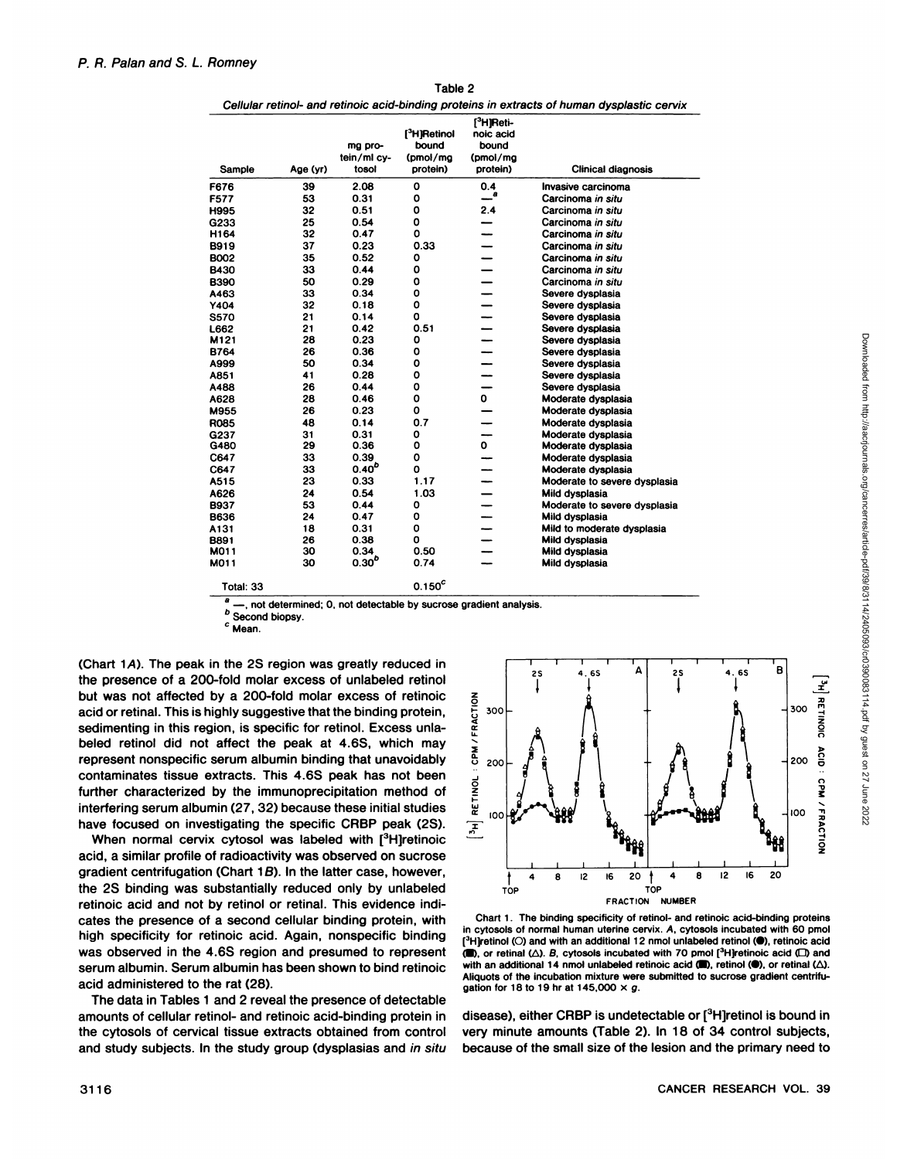| Sample      | Age (yr) | mg pro-<br>tein/ml cy-<br>tosol | [ <sup>3</sup> H]Retinol<br>bound<br>(pmol/ma<br>protein) | <sup>3</sup> HIReti-<br>noic acid<br>bound<br>(pmol/mg<br>protein) | <b>Clinical diagnosis</b>    |
|-------------|----------|---------------------------------|-----------------------------------------------------------|--------------------------------------------------------------------|------------------------------|
| F676        | 39       | 2.08                            | 0                                                         | 0.4                                                                | Invasive carcinoma           |
| F577        | 53       | 0.31                            | 0                                                         | $-^a$                                                              | Carcinoma in situ            |
| H995        | 32       | 0.51                            | 0                                                         | 2.4                                                                | Carcinoma in situ            |
| G233        | 25       | 0.54                            | 0                                                         |                                                                    | Carcinoma in situ            |
| H164        | 32       | 0.47                            | 0                                                         |                                                                    | Carcinoma in situ            |
| B919        | 37       | 0.23                            | 0.33                                                      |                                                                    | Carcinoma in situ            |
| <b>BOO2</b> | 35       | 0.52                            | o                                                         |                                                                    | Carcinoma in situ            |
| B430        | 33       | 0.44                            | 0                                                         |                                                                    | Carcinoma in situ            |
| <b>B390</b> | 50       | 0.29                            | O                                                         |                                                                    | Carcinoma in situ            |
| A463        | 33       | 0.34                            | $\mathbf o$                                               |                                                                    | Severe dysplasia             |
| Y404        | 32       | 0.18                            | $\mathbf 0$                                               |                                                                    | Severe dysplasia             |
| <b>S570</b> | 21       | 0.14                            | O                                                         |                                                                    | Severe dysplasia             |
| L662        | 21       | 0.42                            | 0.51                                                      |                                                                    | Severe dysplasia             |
| M121        | 28       | 0.23                            | 0                                                         |                                                                    | Severe dysplasia             |
| <b>B764</b> | 26       | 0.36                            | O                                                         |                                                                    | Severe dysplasia             |
| A999        | 50       | 0.34                            | o                                                         |                                                                    | Severe dysplasia             |
| A851        | 41       | 0.28                            | O                                                         |                                                                    | Severe dysplasia             |
| A488        | 26       | 0.44                            | 0                                                         |                                                                    | Severe dysplasia             |
| A628        | 28       | 0.46                            | 0                                                         | 0                                                                  | Moderate dysplasia           |
| M955        | 26       | 0.23                            | O                                                         |                                                                    | Moderate dysplasia           |
| <b>R085</b> | 48       | 0.14                            | 0.7                                                       |                                                                    | Moderate dysplasia           |
| G237        | 31       | 0.31                            | 0                                                         |                                                                    | Moderate dysplasia           |
| G480        | 29       | 0.36                            | 0                                                         | 0                                                                  | Moderate dysplasia           |
| C647        | 33       | 0.39                            | 0                                                         |                                                                    | Moderate dysplasia           |
| C647        | 33       | $0.40^{b}$                      | O                                                         |                                                                    | Moderate dysplasia           |
| A515        | 23       | 0.33                            | 1.17                                                      |                                                                    | Moderate to severe dysplasia |
| A626        | 24       | 0.54                            | 1.03                                                      |                                                                    | Mild dysplasia               |
| <b>B937</b> | 53       | 0.44                            | O                                                         |                                                                    | Moderate to severe dysplasia |
| <b>B636</b> | 24       | 0.47                            | O                                                         |                                                                    | Mild dysplasia               |
| A131        | 18       | 0.31                            | O                                                         |                                                                    | Mild to moderate dysplasia   |
| B891        | 26       | 0.38                            | O                                                         |                                                                    | Mild dysplasia               |
| M011        | 30       | 0.34                            | 0.50                                                      |                                                                    | Mild dysplasia               |
| M011        | 30       | 0.30 <sup>b</sup>               | 0.74                                                      |                                                                    | Mild dysplasia               |
| Total: 33   |          |                                 | $0.150^c$                                                 |                                                                    |                              |

Table 2

 $\frac{a}{b}$  —, not determined; 0, not detectable by sucrose gradient analysis.

**b** Second biopsy. **C Mean.**

(Chart 1A). The peak in the 2S region was greatly reduced in the presence of a 200-fold molar excess of unlabeled netinol but was not affected by a 200-fold molar excess of retinoic acid or retinal. This is highly suggestive that the binding protein, sedimenting in this region, is specific for retinol. Excess unla beled retinol did not affect the peak at 4.6S, which may represent nonspecific serum albumin binding that unavoidably contaminates tissue extracts. This 4.65 peak has not been further characterized by the immunoprecipitation method of interfering serum albumin (27, 32) because these initial studies have focused on investigating the specific CRBP peak (2S).

When normal cervix cytosol was labeled with  $[3H]$ retinoic acid, a similar profile of radioactivity was observed on sucrose gradient centnifugation (Chart 1B). In the latter case, however, @ t 8 \$2 6 20f 4 8 the 2S binding was substantially reduced only by unlabeled  $\tau_{\rm opt}$ retinoic acid and not by retinol or retinal. This evidence indicates the presence of a second cellular binding protein, with **high specificity for retinoic acid. Again, nonspecific binding** was observed in the 4.6S region and presumed to represent  $\Box$ , or retinal  $\triangle$ ). B, cytosols incubated with 70 pmol [<sup>3</sup>H]retinoic acid  $\Box$  and serium albumin Serum albumin has been shown to bind retinoic with an additi Serum albumin. Serum albumin has been shown to bind retinoic with an additional 14 nmol unlabeled retinoic acid (.), or retinal ( $\Delta$ ). acid administered to the rat (28).

The data in Tables 1 and 2 reveal the presence of detectable amounts of cellular retinol- and netinoic acid-binding protein in the cytosols of cervical tissue extracts obtained from control and study subjects. In the study group (dysplasias and in situ



Chart 1. The binding specificity of retinol- and retinoic acid-binding proteins in cytosols of normal human uterine cervix. A, cytosols incubated with 60 pmol  $[3H]$ retinol (O) and with an additional 12 nmol unlabeled retinol ( $\bullet$ ), retinoic acid (B), or retinal ( $\triangle$ ). B, cytosols incubated with 70 pmol [<sup>3</sup>H]retinoic acid ( $\square$ ) and Aliquets of the incubation mixture were submitted to sucrose gradient centritu gation for 18 to 19 hr at 145,000  $\times$  g.

disease), either CRBP is undetectable or [3H]retinol is bound in very minute amounts (Table 2). In 18 of 34 control subjects, because of the small size of the lesion and the primary need to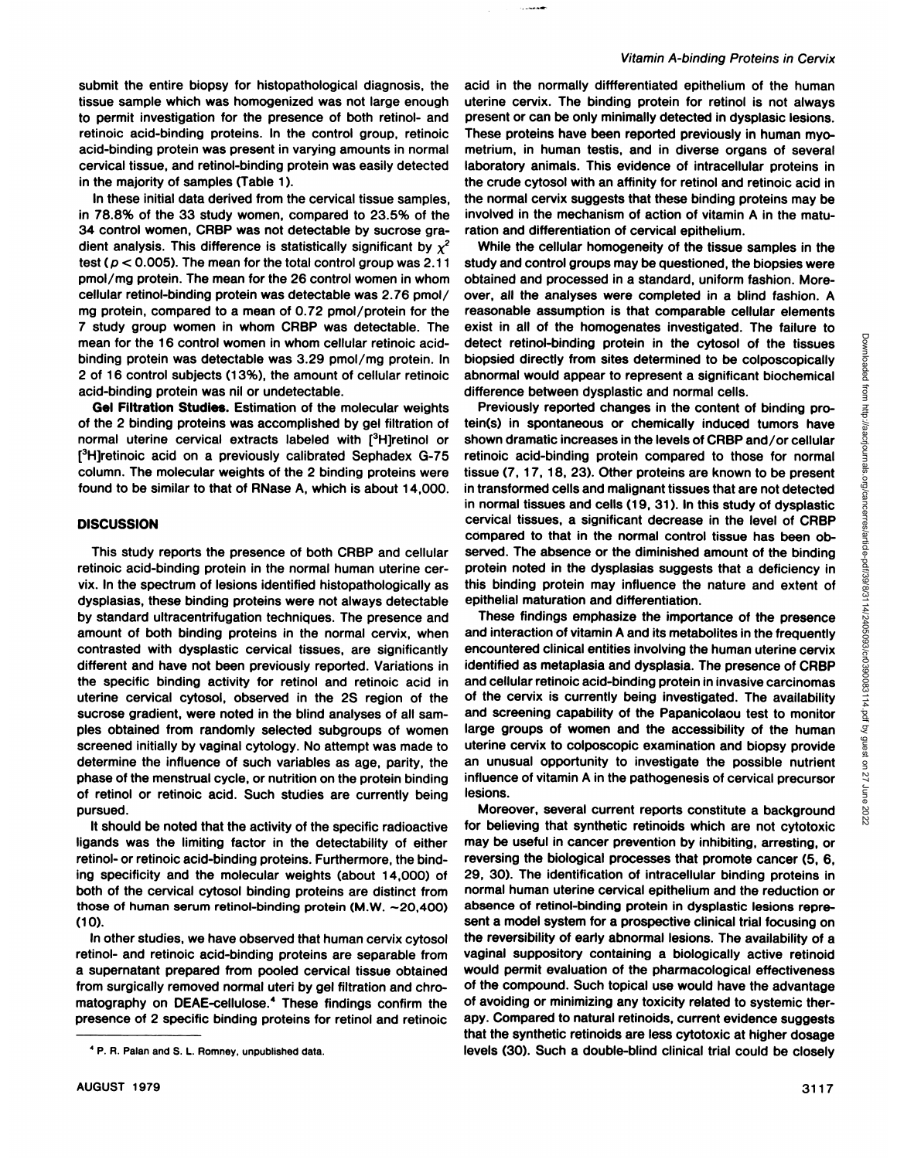submit the entire biopsy for histopathological diagnosis, the tissue sample which was homogenized was not large enough to permit investigation for the presence of both retinol- and retinoic acid-binding proteins. In the control group, retinoic acid-binding protein was present in varying amounts in normal cervical tissue, and netinol-binding protein was easily detected in the majority of samples (Table 1).

In these initial data derived from the cervical tissue samples, in 78.8% of the 33 study women, compared to 23.5% of the 34 control women, CRBP was not detectable by sucrose gradient analysis. This difference is statistically significant by  $x^2$ test ( $p < 0.005$ ). The mean for the total control group was 2.11 pmol/mg protein. The mean for the 26 control women in whom cellular retinol-binding protein was detectable was 2.76 pmol/ mg protein, compared to a mean of 0.72 pmol/protein for the 7 study group women in whom CRBP was detectable. The mean for the 16 control women in whom cellular retinoic acid binding protein was detectable was 3.29 pmol/mg protein. In 2 of 16 control subjects (13%), the amount of cellular retinoic acid-binding protein was nil or undetectable.

**Gel Filtration Studies.** Estimation of the molecular weights of the 2 binding proteins was accomplished by gel filtration of normal uterine cervical extracts labeled with [3H]retinol or [3H]retinoic acid on a previously calibrated Sephadex G-75 column. The molecular weights of the 2 binding proteins were found to be similar to that of RNase A, which is about 14,000.

## **DISCUSSION**

This study reports the presence of both CRBP and cellular retinoic acid-binding protein in the normal human uterine cer vix. In the spectrum of lesions identified histopathologically as dysplasias, these binding proteins were not always detectable by standard ultracentrifugation techniques. The presence and amount of both binding proteins in the normal cervix, when contrasted with dysplastic cervical tissues, are significantly different and have not been previously reported. Variations in the specific binding activity for retinol and retinoic acid in uterine cervical cytosol, observed in the 2S region of the sucrose gradient, were noted in the blind analyses of all sam ples obtained from randomly selected subgroups of women screened initially by vaginal cytology. No attempt was made to determine the influence of such variables as age, parity, the phase of the menstrual cycle, or nutrition on the protein binding of retinol or retinoic acid. Such studies are currently being pursued.

It should be noted that the activity of the specific radioactive ligands was the limiting factor in the detectability of either retinol- or retinoic acid-binding proteins. Furthermore, the bind ing specificity and the molecular weights (about 14,000) of both of the cervical cytosol binding proteins are distinct from those of human serum retinol-binding protein (M.W.  $\sim$  20,400) (10).

In other studies, we have observed that human cervix cytosol retinol- and netinoic acid-binding proteins are separable from a supernatant prepared from pooled cervical tissue obtained from surgically removed normal uteri by gel filtration and chro matography on DEAE-cellulose.4 These findings confirm the presence of 2 specific binding proteins for retinol and retinoic

#### Vitamin A-binding Proteins in Cervix

acid in the normally differentiated epithelium of the human uterine cervix. The binding protein for retinol is not always present or can be only minimally detected in dysplasic lesions. These proteins have been reported previously in human myo metrium, in human testis, and in diverse organs of several laboratory animals. This evidence of intracellular proteins in the crude cytosol with an affinity for retinol and retinoic acid in the normal cervix suggests that these binding proteins may be involved in the mechanism of action of vitamin A in the matu ration and differentiation of cervical epithelium.

ومستساب

While the cellular homogeneity of the tissue samples in the study and control groups may be questioned, the biopsies were obtained and processed in a standard, uniform fashion. More over, all the analyses were completed in a blind fashion. A reasonable assumption is that comparable cellular elements detect retinol-binding protein in the cytosol of the tissues biopsied directly from sites determined to be colposcopically abnormal would appear to represent a significant biochemical difference between dysplastic and normal cells.

exist in all of the homogenates investigated. The failure to<br>
detect retino-binding protein in the cytosol of the tissues<br>
biopsied directly from sites determined to be colposcopically<br>
abnormal would appear to represent a Previously reported changes in the content of binding pro tein(s) in spontaneous or chemically induced tumors have shown dramatic increases in the levels of CRBP and/or cellular retinoic acid-binding protein compared to those for normal tissue (7, 17, 18, 23). Other proteins are known to be present in transformed cells and malignant tissues that are not detected in normal tissues and cells (19, 31). In this study of dysplastic cervical tissues, a significant decrease in the level of CRBP compared to that in the normal control tissue has been observed. The absence or the diminished amount of the binding protein noted in the dysplasias suggests that a deficiency in this binding protein may influence the nature and extent of epithelial maturation and differentiation.

These findings emphasize the importance of the presence and interaction of vitamin A and its metabolites in the frequently encountered clinical entities involving the human uterine cervix identified as metaplasia and dysplasia. The presence of CRBP and cellular retinoic acid-binding protein in invasive carcinomas of the cervix is currently being investigated. The availability and screening capability of the Papanicolaou test to monitor large groups of women and the accessibility of the human uterine cervix to colposcopic examination and biopsy provide an unusual opportunity to investigate the possible nutrient influence of vitamin A in the pathogenesis of cervical precursor lesions.

Moreover, several current reports constitute a background for believing that synthetic retinoids which are not cytotoxic may be useful in cancer prevention by inhibiting, arresting, or reversing the biological processes that promote cancer (5, 6, 29, 30). The identification of intracellular binding proteins in normal human uterine cervical epithelium and the reduction or absence of retinol-binding protein in dysplastic lesions repre sent a model system for a prospective clinical trial focusing on the reversibility of early abnormal lesions. The availability of a vaginal suppository containing a biologically active retinoid would permit evaluation of the pharmacological effectiveness of the compound. Such topical use would have the advantage of avoiding or minimizing any toxicity related to systemic ther apy. Compared to natural retinoids, current evidence suggests that the synthetic retinoids are less cytotoxic at higher dosage levels (30). Such a double-blind clinical trial could be closely

**<sup>4</sup> P. R. Palan and S. L. Romney, unpublished data.**